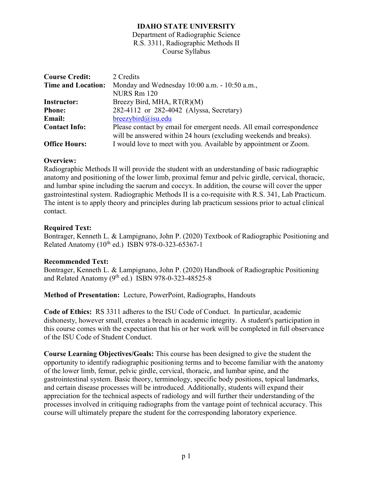Department of Radiographic Science R.S. 3311, Radiographic Methods II Course Syllabus

| <b>Course Credit:</b><br><b>Time and Location:</b> | 2 Credits<br>Monday and Wednesday 10:00 a.m. - 10:50 a.m.,<br>NURS Rm 120 |
|----------------------------------------------------|---------------------------------------------------------------------------|
| <b>Instructor:</b>                                 | Breezy Bird, MHA, RT(R)(M)                                                |
| <b>Phone:</b>                                      | 282-4112 or 282-4042 (Alyssa, Secretary)                                  |
| <b>Email:</b>                                      | $breezybird@$ isu.edu                                                     |
| <b>Contact Info:</b>                               | Please contact by email for emergent needs. All email correspondence      |
|                                                    | will be answered within 24 hours (excluding weekends and breaks).         |
| <b>Office Hours:</b>                               | I would love to meet with you. Available by appointment or Zoom.          |

### **Overview:**

Radiographic Methods II will provide the student with an understanding of basic radiographic anatomy and positioning of the lower limb, proximal femur and pelvic girdle, cervical, thoracic, and lumbar spine including the sacrum and coccyx. In addition, the course will cover the upper gastrointestinal system. Radiographic Methods II is a co-requisite with R.S. 341, Lab Practicum. The intent is to apply theory and principles during lab practicum sessions prior to actual clinical contact.

### **Required Text:**

Bontrager, Kenneth L. & Lampignano, John P. (2020) Textbook of Radiographic Positioning and Related Anatomy  $(10^{th}$  ed.) ISBN 978-0-323-65367-1

#### **Recommended Text:**

Bontrager, Kenneth L. & Lampignano, John P. (2020) Handbook of Radiographic Positioning and Related Anatomy  $(9^{th}$  ed.) ISBN 978-0-323-48525-8

## **Method of Presentation:** Lecture, PowerPoint, Radiographs, Handouts

**Code of Ethics:** RS 3311 adheres to the ISU Code of Conduct. In particular, academic dishonesty, however small, creates a breach in academic integrity. A student's participation in this course comes with the expectation that his or her work will be completed in full observance of the ISU Code of Student Conduct.

**Course Learning Objectives/Goals:** This course has been designed to give the student the opportunity to identify radiographic positioning terms and to become familiar with the anatomy of the lower limb, femur, pelvic girdle, cervical, thoracic, and lumbar spine, and the gastrointestinal system. Basic theory, terminology, specific body positions, topical landmarks, and certain disease processes will be introduced. Additionally, students will expand their appreciation for the technical aspects of radiology and will further their understanding of the processes involved in critiquing radiographs from the vantage point of technical accuracy. This course will ultimately prepare the student for the corresponding laboratory experience.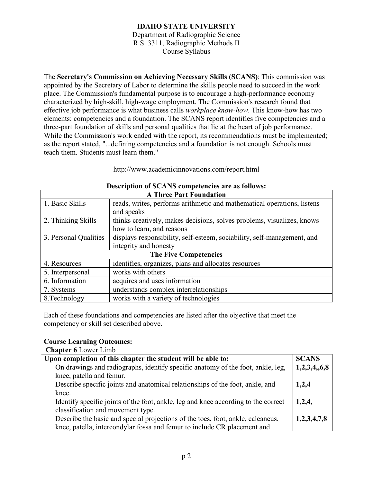Department of Radiographic Science R.S. 3311, Radiographic Methods II Course Syllabus

The **Secretary's Commission on Achieving Necessary Skills (SCANS)**: This commission was appointed by the Secretary of Labor to determine the skills people need to succeed in the work place. The Commission's fundamental purpose is to encourage a high-performance economy characterized by high-skill, high-wage employment. The Commission's research found that effective job performance is what business calls *workplace know-how*. This know-how has two elements: competencies and a foundation. The SCANS report identifies five competencies and a three-part foundation of skills and personal qualities that lie at the heart of job performance. While the Commission's work ended with the report, its recommendations must be implemented; as the report stated, "...defining competencies and a foundation is not enough. Schools must teach them. Students must learn them."

http://www.academicinnovations.com/report.html

| <b>A Three Part Foundation</b> |                                                                         |  |  |
|--------------------------------|-------------------------------------------------------------------------|--|--|
| 1. Basic Skills                | reads, writes, performs arithmetic and mathematical operations, listens |  |  |
|                                | and speaks                                                              |  |  |
| 2. Thinking Skills             | thinks creatively, makes decisions, solves problems, visualizes, knows  |  |  |
|                                | how to learn, and reasons                                               |  |  |
| 3. Personal Qualities          | displays responsibility, self-esteem, sociability, self-management, and |  |  |
|                                | integrity and honesty                                                   |  |  |
| <b>The Five Competencies</b>   |                                                                         |  |  |
| 4. Resources                   | identifies, organizes, plans and allocates resources                    |  |  |
| 5. Interpersonal               | works with others                                                       |  |  |
| 6. Information                 | acquires and uses information                                           |  |  |
| 7. Systems                     | understands complex interrelationships                                  |  |  |
| 8. Technology                  | works with a variety of technologies                                    |  |  |

### **Description of SCANS competencies are as follows:**

Each of these foundations and competencies are listed after the objective that meet the competency or skill set described above.

#### **Course Learning Outcomes:**

**Chapter 6** Lower Limb

| Upon completion of this chapter the student will be able to:                       | <b>SCANS</b> |
|------------------------------------------------------------------------------------|--------------|
| On drawings and radiographs, identify specific anatomy of the foot, ankle, leg,    | 1,2,3,4,6,8  |
| knee, patella and femur.                                                           |              |
| Describe specific joints and anatomical relationships of the foot, ankle, and      | 1,2,4        |
| knee.                                                                              |              |
| Identify specific joints of the foot, ankle, leg and knee according to the correct | 1,2,4,       |
| classification and movement type.                                                  |              |
| Describe the basic and special projections of the toes, foot, ankle, calcaneus,    | 1,2,3,4,7,8  |
| knee, patella, intercondylar fossa and femur to include CR placement and           |              |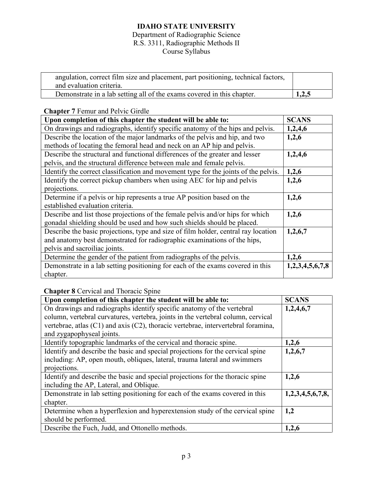## Department of Radiographic Science R.S. 3311, Radiographic Methods II

Course Syllabus

| angulation, correct film size and placement, part positioning, technical factors,<br>and evaluation criteria. |       |
|---------------------------------------------------------------------------------------------------------------|-------|
| Demonstrate in a lab setting all of the exams covered in this chapter.                                        | 1,2,5 |

## **Chapter 7** Femur and Pelvic Girdle

| Upon completion of this chapter the student will be able to:                        | <b>SCANS</b>    |
|-------------------------------------------------------------------------------------|-----------------|
| On drawings and radiographs, identify specific anatomy of the hips and pelvis.      | 1,2,4,6         |
| Describe the location of the major landmarks of the pelvis and hip, and two         | 1,2,6           |
| methods of locating the femoral head and neck on an AP hip and pelvis.              |                 |
| Describe the structural and functional differences of the greater and lesser        | 1,2,4,6         |
| pelvis, and the structural difference between male and female pelvis.               |                 |
| Identify the correct classification and movement type for the joints of the pelvis. | 1,2,6           |
| Identify the correct pickup chambers when using AEC for hip and pelvis              | 1,2,6           |
| projections.                                                                        |                 |
| Determine if a pelvis or hip represents a true AP position based on the             | 1,2,6           |
| established evaluation criteria.                                                    |                 |
| Describe and list those projections of the female pelvis and/or hips for which      | 1,2,6           |
| gonadal shielding should be used and how such shields should be placed.             |                 |
| Describe the basic projections, type and size of film holder, central ray location  | 1,2,6,7         |
| and anatomy best demonstrated for radiographic examinations of the hips,            |                 |
| pelvis and sacroiliac joints.                                                       |                 |
| Determine the gender of the patient from radiographs of the pelvis.                 | 1,2,6           |
| Demonstrate in a lab setting positioning for each of the exams covered in this      | 1,2,3,4,5,6,7,8 |
| chapter.                                                                            |                 |

**Chapter 8** Cervical and Thoracic Spine

| Upon completion of this chapter the student will be able to:                      | <b>SCANS</b>     |
|-----------------------------------------------------------------------------------|------------------|
| On drawings and radiographs identify specific anatomy of the vertebral            | 1,2,4,6,7        |
| column, vertebral curvatures, vertebra, joints in the vertebral column, cervical  |                  |
| vertebrae, atlas (C1) and axis (C2), thoracic vertebrae, intervertebral foramina, |                  |
| and zygapophyseal joints.                                                         |                  |
| Identify topographic landmarks of the cervical and thoracic spine.                | 1,2,6            |
| Identify and describe the basic and special projections for the cervical spine    | 1,2,6,7          |
| including: AP, open mouth, obliques, lateral, trauma lateral and swimmers         |                  |
| projections.                                                                      |                  |
| Identify and describe the basic and special projections for the thoracic spine    | 1,2,6            |
| including the AP, Lateral, and Oblique.                                           |                  |
| Demonstrate in lab setting positioning for each of the exams covered in this      | 1,2,3,4,5,6,7,8, |
| chapter.                                                                          |                  |
| Determine when a hyperflexion and hyperextension study of the cervical spine      | 1,2              |
| should be performed.                                                              |                  |
| Describe the Fuch, Judd, and Ottonello methods.                                   | 1,2,6            |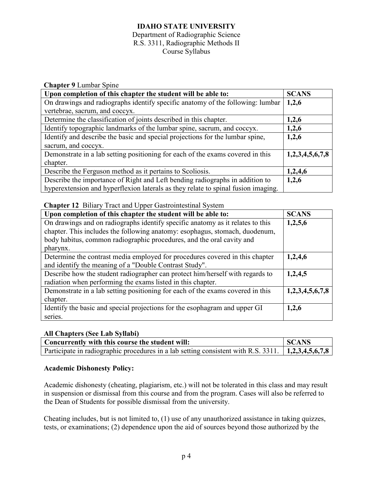#### Department of Radiographic Science R.S. 3311, Radiographic Methods II Course Syllabus

| <b>Chapter 9 Lumbar Spine</b> |  |  |
|-------------------------------|--|--|
|-------------------------------|--|--|

| Upon completion of this chapter the student will be able to:                      | <b>SCANS</b>    |
|-----------------------------------------------------------------------------------|-----------------|
| On drawings and radiographs identify specific anatomy of the following: lumbar    | 1,2,6           |
| vertebrae, sacrum, and coccyx.                                                    |                 |
| Determine the classification of joints described in this chapter.                 | 1,2,6           |
| Identify topographic landmarks of the lumbar spine, sacrum, and coccyx.           | 1,2,6           |
| Identify and describe the basic and special projections for the lumbar spine,     | 1,2,6           |
| sacrum, and coccyx.                                                               |                 |
| Demonstrate in a lab setting positioning for each of the exams covered in this    | 1,2,3,4,5,6,7,8 |
| chapter.                                                                          |                 |
| Describe the Ferguson method as it pertains to Scoliosis.                         | 1,2,4,6         |
| Describe the importance of Right and Left bending radiographs in addition to      | 1,2,6           |
| hyperextension and hyperflexion laterals as they relate to spinal fusion imaging. |                 |

## **Chapter 12** Biliary Tract and Upper Gastrointestinal System

| Upon completion of this chapter the student will be able to:                   | <b>SCANS</b>    |
|--------------------------------------------------------------------------------|-----------------|
| On drawings and on radiographs identify specific anatomy as it relates to this | 1,2,5,6         |
| chapter. This includes the following anatomy: esophagus, stomach, duodenum,    |                 |
| body habitus, common radiographic procedures, and the oral cavity and          |                 |
| pharynx.                                                                       |                 |
| Determine the contrast media employed for procedures covered in this chapter   | 1,2,4,6         |
| and identify the meaning of a "Double Contrast Study".                         |                 |
| Describe how the student radiographer can protect him/herself with regards to  | 1,2,4,5         |
| radiation when performing the exams listed in this chapter.                    |                 |
| Demonstrate in a lab setting positioning for each of the exams covered in this | 1,2,3,4,5,6,7,8 |
| chapter.                                                                       |                 |
| Identify the basic and special projections for the esophagram and upper GI     | 1,2,6           |
| series.                                                                        |                 |

#### **All Chapters (See Lab Syllabi)**

| Concurrently with this course the student will:                                                      | <b>SCANS</b> |
|------------------------------------------------------------------------------------------------------|--------------|
| Participate in radiographic procedures in a lab setting consistent with R.S. 3311.   1,2,3,4,5,6,7,8 |              |

#### **Academic Dishonesty Policy:**

Academic dishonesty (cheating, plagiarism, etc.) will not be tolerated in this class and may result in suspension or dismissal from this course and from the program. Cases will also be referred to the Dean of Students for possible dismissal from the university.

Cheating includes, but is not limited to, (1) use of any unauthorized assistance in taking quizzes, tests, or examinations; (2) dependence upon the aid of sources beyond those authorized by the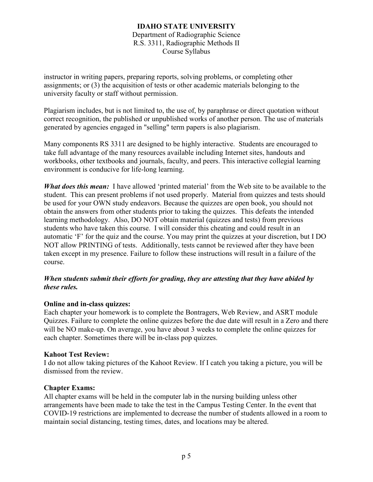### **IDAHO STATE UNIVERSITY** Department of Radiographic Science R.S. 3311, Radiographic Methods II Course Syllabus

instructor in writing papers, preparing reports, solving problems, or completing other assignments; or (3) the acquisition of tests or other academic materials belonging to the university faculty or staff without permission.

Plagiarism includes, but is not limited to, the use of, by paraphrase or direct quotation without correct recognition, the published or unpublished works of another person. The use of materials generated by agencies engaged in "selling" term papers is also plagiarism.

Many components RS 3311 are designed to be highly interactive. Students are encouraged to take full advantage of the many resources available including Internet sites, handouts and workbooks, other textbooks and journals, faculty, and peers. This interactive collegial learning environment is conducive for life-long learning.

*What does this mean:* I have allowed 'printed material' from the Web site to be available to the student. This can present problems if not used properly. Material from quizzes and tests should be used for your OWN study endeavors. Because the quizzes are open book, you should not obtain the answers from other students prior to taking the quizzes. This defeats the intended learning methodology. Also, DO NOT obtain material (quizzes and tests) from previous students who have taken this course. I will consider this cheating and could result in an automatic 'F' for the quiz and the course. You may print the quizzes at your discretion, but I DO NOT allow PRINTING of tests. Additionally, tests cannot be reviewed after they have been taken except in my presence. Failure to follow these instructions will result in a failure of the course.

## *When students submit their efforts for grading, they are attesting that they have abided by these rules.*

## **Online and in-class quizzes:**

Each chapter your homework is to complete the Bontragers, Web Review, and ASRT module Quizzes. Failure to complete the online quizzes before the due date will result in a Zero and there will be NO make-up. On average, you have about 3 weeks to complete the online quizzes for each chapter. Sometimes there will be in-class pop quizzes.

## **Kahoot Test Review:**

I do not allow taking pictures of the Kahoot Review. If I catch you taking a picture, you will be dismissed from the review.

## **Chapter Exams:**

All chapter exams will be held in the computer lab in the nursing building unless other arrangements have been made to take the test in the Campus Testing Center. In the event that COVID-19 restrictions are implemented to decrease the number of students allowed in a room to maintain social distancing, testing times, dates, and locations may be altered.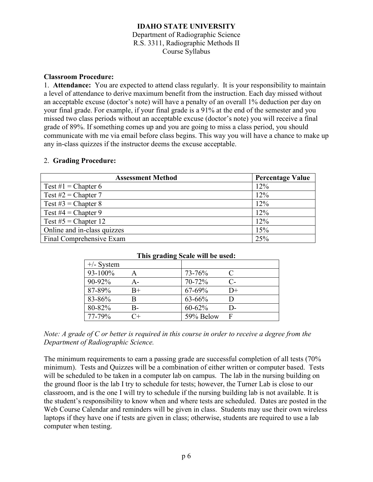### **IDAHO STATE UNIVERSITY** Department of Radiographic Science R.S. 3311, Radiographic Methods II Course Syllabus

## **Classroom Procedure:**

1. **Attendance:** You are expected to attend class regularly. It is your responsibility to maintain a level of attendance to derive maximum benefit from the instruction. Each day missed without an acceptable excuse (doctor's note) will have a penalty of an overall 1% deduction per day on your final grade. For example, if your final grade is a 91% at the end of the semester and you missed two class periods without an acceptable excuse (doctor's note) you will receive a final grade of 89%. If something comes up and you are going to miss a class period, you should communicate with me via email before class begins. This way you will have a chance to make up any in-class quizzes if the instructor deems the excuse acceptable.

#### 2. **Grading Procedure:**

| <b>Assessment Method</b>    | <b>Percentage Value</b> |
|-----------------------------|-------------------------|
| Test #1 = Chapter 6         | 12%                     |
| Test $#2$ = Chapter 7       | 12%                     |
| Test #3 = Chapter 8         | 12%                     |
| Test $#4 = Chapter 9$       | 12%                     |
| Test $#5$ = Chapter 12      | 12%                     |
| Online and in-class quizzes | 15%                     |
| Final Comprehensive Exam    | 25%                     |

| $\frac{1}{2}$ and $\frac{1}{2}$ we have $\frac{1}{2}$ and $\frac{1}{2}$ and $\frac{1}{2}$ and $\frac{1}{2}$ |                      |           |      |
|-------------------------------------------------------------------------------------------------------------|----------------------|-----------|------|
| $+/-$ System                                                                                                |                      |           |      |
| 93-100%                                                                                                     |                      | 73-76%    | C    |
| 90-92%                                                                                                      | А-                   | 70-72%    | $C-$ |
| 87-89%                                                                                                      | $_{\rm B+}$          | 67-69%    | $D+$ |
| 83-86%                                                                                                      | R                    | 63-66%    | D    |
| 80-82%                                                                                                      | В-                   | 60-62%    | $D-$ |
| 77-79%                                                                                                      | $^{\small \frown +}$ | 59% Below | F    |

#### **This grading Scale will be used:**

*Note: A grade of C or better is required in this course in order to receive a degree from the Department of Radiographic Science.*

The minimum requirements to earn a passing grade are successful completion of all tests (70% minimum). Tests and Quizzes will be a combination of either written or computer based. Tests will be scheduled to be taken in a computer lab on campus. The lab in the nursing building on the ground floor is the lab I try to schedule for tests; however, the Turner Lab is close to our classroom, and is the one I will try to schedule if the nursing building lab is not available. It is the student's responsibility to know when and where tests are scheduled. Dates are posted in the Web Course Calendar and reminders will be given in class. Students may use their own wireless laptops if they have one if tests are given in class; otherwise, students are required to use a lab computer when testing.